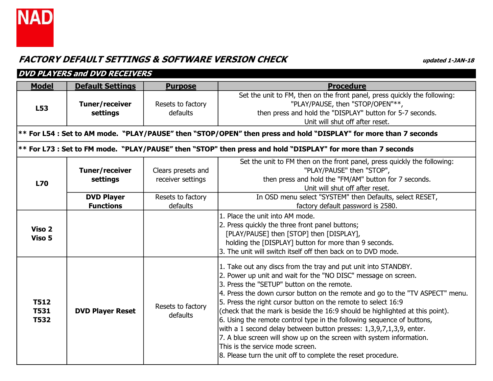

|                                           | <b>DVD PLAYERS and DVD RECEIVERS</b>  |                                         |                                                                                                                                                                                                                                                                                                                                                                                                                                                                                                                                                                                                                                                                                                                                                   |  |  |
|-------------------------------------------|---------------------------------------|-----------------------------------------|---------------------------------------------------------------------------------------------------------------------------------------------------------------------------------------------------------------------------------------------------------------------------------------------------------------------------------------------------------------------------------------------------------------------------------------------------------------------------------------------------------------------------------------------------------------------------------------------------------------------------------------------------------------------------------------------------------------------------------------------------|--|--|
| <b>Model</b>                              | <b>Default Settings</b>               | <b>Purpose</b>                          | <b>Procedure</b>                                                                                                                                                                                                                                                                                                                                                                                                                                                                                                                                                                                                                                                                                                                                  |  |  |
| L53                                       | Tuner/receiver<br>settings            | Resets to factory<br>defaults           | Set the unit to FM, then on the front panel, press quickly the following:<br>"PLAY/PAUSE, then "STOP/OPEN"**,<br>then press and hold the "DISPLAY" button for 5-7 seconds.<br>Unit will shut off after reset.                                                                                                                                                                                                                                                                                                                                                                                                                                                                                                                                     |  |  |
|                                           |                                       |                                         | $ ***$ For L54 : Set to AM mode. "PLAY/PAUSE" then "STOP/OPEN" then press and hold "DISPLAY" for more than 7 seconds                                                                                                                                                                                                                                                                                                                                                                                                                                                                                                                                                                                                                              |  |  |
|                                           |                                       |                                         | $ ***$ For L73 : Set to FM mode. "PLAY/PAUSE" then "STOP" then press and hold "DISPLAY" for more than 7 seconds                                                                                                                                                                                                                                                                                                                                                                                                                                                                                                                                                                                                                                   |  |  |
| <b>L70</b>                                | <b>Tuner/receiver</b><br>settings     | Clears presets and<br>receiver settings | Set the unit to FM then on the front panel, press quickly the following:<br>"PLAY/PAUSE" then "STOP",<br>then press and hold the "FM/AM" button for 7 seconds.<br>Unit will shut off after reset.                                                                                                                                                                                                                                                                                                                                                                                                                                                                                                                                                 |  |  |
|                                           | <b>DVD Player</b><br><b>Functions</b> | Resets to factory<br>defaults           | In OSD menu select "SYSTEM" then Defaults, select RESET,<br>factory default password is 2580.                                                                                                                                                                                                                                                                                                                                                                                                                                                                                                                                                                                                                                                     |  |  |
| Viso 2<br>Viso 5                          |                                       |                                         | 1. Place the unit into AM mode.<br>2. Press quickly the three front panel buttons;<br>[PLAY/PAUSE] then [STOP] then [DISPLAY],<br>holding the [DISPLAY] button for more than 9 seconds.<br>3. The unit will switch itself off then back on to DVD mode.                                                                                                                                                                                                                                                                                                                                                                                                                                                                                           |  |  |
| <b>T512</b><br><b>T531</b><br><b>T532</b> | <b>DVD Player Reset</b>               | Resets to factory<br>defaults           | 1. Take out any discs from the tray and put unit into STANDBY.<br>2. Power up unit and wait for the "NO DISC" message on screen.<br>3. Press the "SETUP" button on the remote.<br>4. Press the down cursor button on the remote and go to the "TV ASPECT" menu.<br>5. Press the right cursor button on the remote to select 16:9<br>(check that the mark is beside the 16:9 should be highlighted at this point).<br>6. Using the remote control type in the following sequence of buttons,<br>with a 1 second delay between button presses: $1,3,9,7,1,3,9$ , enter.<br>7. A blue screen will show up on the screen with system information.<br>This is the service mode screen.<br>8. Please turn the unit off to complete the reset procedure. |  |  |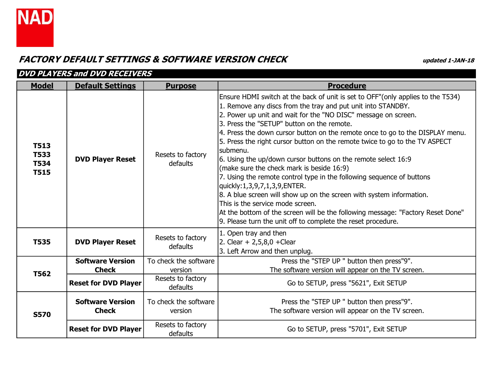

| <b>DVD PLAYERS and DVD RECEIVERS</b>                     |                                         |                                  |                                                                                                                                                                                                                                                                                                                                                                                                                                                                                                                                                                                                                                                                                                                                                                                                                                                                                                                                     |  |
|----------------------------------------------------------|-----------------------------------------|----------------------------------|-------------------------------------------------------------------------------------------------------------------------------------------------------------------------------------------------------------------------------------------------------------------------------------------------------------------------------------------------------------------------------------------------------------------------------------------------------------------------------------------------------------------------------------------------------------------------------------------------------------------------------------------------------------------------------------------------------------------------------------------------------------------------------------------------------------------------------------------------------------------------------------------------------------------------------------|--|
| <b>Model</b>                                             | <b>Default Settings</b>                 | <b>Purpose</b>                   | <b>Procedure</b>                                                                                                                                                                                                                                                                                                                                                                                                                                                                                                                                                                                                                                                                                                                                                                                                                                                                                                                    |  |
| <b>T513</b><br><b>T533</b><br><b>T534</b><br><b>T515</b> | <b>DVD Player Reset</b>                 | Resets to factory<br>defaults    | Ensure HDMI switch at the back of unit is set to OFF" (only applies to the T534)<br>1. Remove any discs from the tray and put unit into STANDBY.<br>2. Power up unit and wait for the "NO DISC" message on screen.<br>3. Press the "SETUP" button on the remote.<br>4. Press the down cursor button on the remote once to go to the DISPLAY menu.<br>5. Press the right cursor button on the remote twice to go to the TV ASPECT<br>Isubmenu.<br>6. Using the up/down cursor buttons on the remote select 16:9<br>(make sure the check mark is beside 16:9)<br>7. Using the remote control type in the following sequence of buttons<br>quickly:1,3,9,7,1,3,9,ENTER.<br>8. A blue screen will show up on the screen with system information.<br>This is the service mode screen.<br>At the bottom of the screen will be the following message: "Factory Reset Done"<br>9. Please turn the unit off to complete the reset procedure. |  |
| <b>T535</b>                                              | <b>DVD Player Reset</b>                 | Resets to factory<br>defaults    | 1. Open tray and then<br>2. Clear + $2,5,8,0$ +Clear<br>3. Left Arrow and then unplug.                                                                                                                                                                                                                                                                                                                                                                                                                                                                                                                                                                                                                                                                                                                                                                                                                                              |  |
|                                                          | <b>Software Version</b>                 | To check the software            | Press the "STEP UP " button then press"9".                                                                                                                                                                                                                                                                                                                                                                                                                                                                                                                                                                                                                                                                                                                                                                                                                                                                                          |  |
| <b>T562</b>                                              | <b>Check</b>                            | version                          | The software version will appear on the TV screen.                                                                                                                                                                                                                                                                                                                                                                                                                                                                                                                                                                                                                                                                                                                                                                                                                                                                                  |  |
|                                                          | <b>Reset for DVD Player</b>             | Resets to factory<br>defaults    | Go to SETUP, press "5621", Exit SETUP                                                                                                                                                                                                                                                                                                                                                                                                                                                                                                                                                                                                                                                                                                                                                                                                                                                                                               |  |
| <b>S570</b>                                              | <b>Software Version</b><br><b>Check</b> | To check the software<br>version | Press the "STEP UP " button then press"9".<br>The software version will appear on the TV screen.                                                                                                                                                                                                                                                                                                                                                                                                                                                                                                                                                                                                                                                                                                                                                                                                                                    |  |
|                                                          | <b>Reset for DVD Player</b>             | Resets to factory<br>defaults    | Go to SETUP, press "5701", Exit SETUP                                                                                                                                                                                                                                                                                                                                                                                                                                                                                                                                                                                                                                                                                                                                                                                                                                                                                               |  |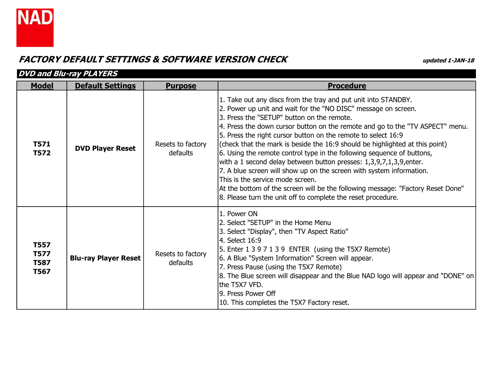

|                                                          | <b>DVD and Blu-ray PLAYERS</b> |                               |                                                                                                                                                                                                                                                                                                                                                                                                                                                                                                                                                                                                                                                                                                                                                                                                                                 |  |  |
|----------------------------------------------------------|--------------------------------|-------------------------------|---------------------------------------------------------------------------------------------------------------------------------------------------------------------------------------------------------------------------------------------------------------------------------------------------------------------------------------------------------------------------------------------------------------------------------------------------------------------------------------------------------------------------------------------------------------------------------------------------------------------------------------------------------------------------------------------------------------------------------------------------------------------------------------------------------------------------------|--|--|
| <b>Model</b>                                             | <b>Default Settings</b>        | <b>Purpose</b>                | <b>Procedure</b>                                                                                                                                                                                                                                                                                                                                                                                                                                                                                                                                                                                                                                                                                                                                                                                                                |  |  |
| <b>T571</b><br><b>T572</b>                               | <b>DVD Player Reset</b>        | Resets to factory<br>defaults | 1. Take out any discs from the tray and put unit into STANDBY.<br>2. Power up unit and wait for the "NO DISC" message on screen.<br>3. Press the "SETUP" button on the remote.<br>4. Press the down cursor button on the remote and go to the "TV ASPECT" menu.<br>5. Press the right cursor button on the remote to select 16:9<br>(check that the mark is beside the 16:9 should be highlighted at this point)<br>6. Using the remote control type in the following sequence of buttons,<br>with a 1 second delay between button presses: 1,3,9,7,1,3,9,enter.<br>7. A blue screen will show up on the screen with system information.<br>This is the service mode screen.<br>At the bottom of the screen will be the following message: "Factory Reset Done"<br>8. Please turn the unit off to complete the reset procedure. |  |  |
| <b>T557</b><br><b>T577</b><br><b>T587</b><br><b>T567</b> | <b>Blu-ray Player Reset</b>    | Resets to factory<br>defaults | 1. Power ON<br>2. Select "SETUP" in the Home Menu<br>3. Select "Display", then "TV Aspect Ratio"<br>4. Select 16:9<br>5. Enter 1 3 9 7 1 3 9 ENTER (using the T5X7 Remote)<br>6. A Blue "System Information" Screen will appear.<br>7. Press Pause (using the T5X7 Remote)<br>[8. The Blue screen will disappear and the Blue NAD logo will appear and "DONE" on<br>lthe T5X7 VFD.<br>9. Press Power Off<br>10. This completes the T5X7 Factory reset.                                                                                                                                                                                                                                                                                                                                                                          |  |  |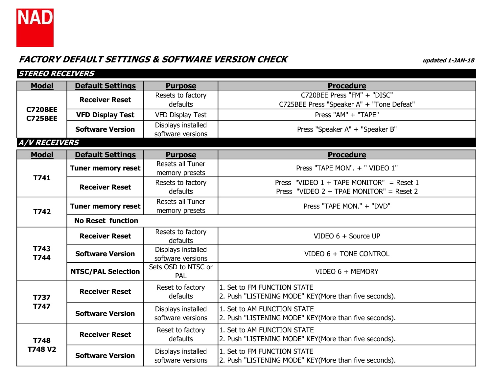

| <b>STEREO RECEIVERS</b>          |                           |                                           |                                                                                          |
|----------------------------------|---------------------------|-------------------------------------------|------------------------------------------------------------------------------------------|
| <b>Model</b>                     | <b>Default Settings</b>   | <b>Purpose</b>                            | <b>Procedure</b>                                                                         |
|                                  | <b>Receiver Reset</b>     | Resets to factory<br>defaults             | C720BEE Press "FM" + "DISC"<br>C725BEE Press "Speaker A" + "Tone Defeat"                 |
| <b>C720BEE</b><br><b>C725BEE</b> | <b>VFD Display Test</b>   | <b>VFD Display Test</b>                   | Press "AM" + "TAPE"                                                                      |
|                                  | <b>Software Version</b>   | Displays installed<br>software versions   | Press "Speaker A" + "Speaker B"                                                          |
| <b>A/V RECEIVERS</b>             |                           |                                           |                                                                                          |
| <b>Model</b>                     | <b>Default Settings</b>   | <b>Purpose</b>                            | <b>Procedure</b>                                                                         |
|                                  | <b>Tuner memory reset</b> | Resets all Tuner<br>memory presets        | Press "TAPE MON". + " VIDEO 1"                                                           |
| T741                             | <b>Receiver Reset</b>     | Resets to factory<br>defaults             | Press "VIDEO $1 +$ TAPE MONITOR" = Reset 1<br>Press "VIDEO $2 + TPAE$ MONITOR" = Reset 2 |
| T742                             | <b>Tuner memory reset</b> | <b>Resets all Tuner</b><br>memory presets | Press "TAPE MON." + "DVD"                                                                |
|                                  | <b>No Reset function</b>  |                                           |                                                                                          |
|                                  | <b>Receiver Reset</b>     | Resets to factory<br>defaults             | VIDEO 6 + Source UP                                                                      |
| T743<br>T744                     | <b>Software Version</b>   | Displays installed<br>software versions   | VIDEO 6 + TONE CONTROL                                                                   |
|                                  | <b>NTSC/PAL Selection</b> | Sets OSD to NTSC or<br>PAL                | VIDEO 6 + MEMORY                                                                         |
| <b>T737</b>                      | <b>Receiver Reset</b>     | Reset to factory<br>defaults              | 1. Set to FM FUNCTION STATE<br>2. Push "LISTENING MODE" KEY(More than five seconds).     |
| T747                             | <b>Software Version</b>   | Displays installed<br>software versions   | 1. Set to AM FUNCTION STATE<br>2. Push "LISTENING MODE" KEY(More than five seconds).     |
| <b>T748</b>                      | <b>Receiver Reset</b>     | Reset to factory<br>defaults              | 1. Set to AM FUNCTION STATE<br>2. Push "LISTENING MODE" KEY(More than five seconds).     |
| <b>T748 V2</b>                   | <b>Software Version</b>   | Displays installed<br>software versions   | 1. Set to FM FUNCTION STATE<br>2. Push "LISTENING MODE" KEY(More than five seconds).     |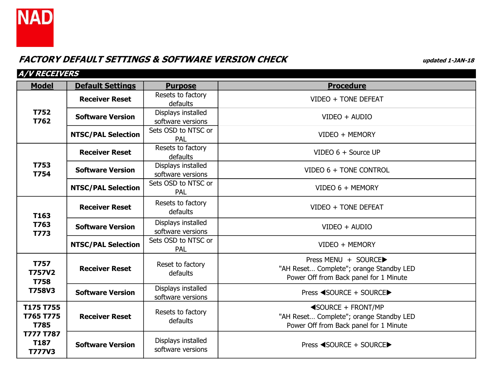

| <i>A/V RECEIVERS</i>                             |                           |                                         |                                                                                                                        |
|--------------------------------------------------|---------------------------|-----------------------------------------|------------------------------------------------------------------------------------------------------------------------|
| <b>Model</b>                                     | <b>Default Settings</b>   | <b>Purpose</b>                          | <b>Procedure</b>                                                                                                       |
|                                                  | <b>Receiver Reset</b>     | Resets to factory<br>defaults           | VIDEO + TONE DEFEAT                                                                                                    |
| <b>T752</b><br>T762                              | <b>Software Version</b>   | Displays installed<br>software versions | VIDEO + AUDIO                                                                                                          |
|                                                  | <b>NTSC/PAL Selection</b> | Sets OSD to NTSC or<br><b>PAL</b>       | VIDEO + MEMORY                                                                                                         |
|                                                  | <b>Receiver Reset</b>     | Resets to factory<br>defaults           | VIDEO 6 + Source UP                                                                                                    |
| T753<br><b>T754</b>                              | <b>Software Version</b>   | Displays installed<br>software versions | VIDEO 6 + TONE CONTROL                                                                                                 |
|                                                  | <b>NTSC/PAL Selection</b> | Sets OSD to NTSC or<br>PAL              | VIDEO 6 + MEMORY                                                                                                       |
| T163                                             | <b>Receiver Reset</b>     | Resets to factory<br>defaults           | VIDEO + TONE DEFEAT                                                                                                    |
| T763<br>T773                                     | <b>Software Version</b>   | Displays installed<br>software versions | VIDEO + AUDIO                                                                                                          |
|                                                  | <b>NTSC/PAL Selection</b> | Sets OSD to NTSC or<br><b>PAL</b>       | VIDEO + MEMORY                                                                                                         |
| <b>T757</b><br><b>T757V2</b><br><b>T758</b>      | <b>Receiver Reset</b>     | Reset to factory<br>defaults            | Press MENU + SOURCE▶<br>"AH Reset Complete"; orange Standby LED<br>Power Off from Back panel for 1 Minute              |
| <b>T758V3</b>                                    | <b>Software Version</b>   | Displays installed<br>software versions | Press <source +="" source▶<="" th=""/>                                                                                 |
| T175 T755<br>T765 T775<br><b>T785</b>            | <b>Receiver Reset</b>     | Resets to factory<br>defaults           | $\triangleleft$ SOURCE + FRONT/MP<br>"AH Reset Complete"; orange Standby LED<br>Power Off from Back panel for 1 Minute |
| <b>T777 T787</b><br><b>T187</b><br><b>T777V3</b> | <b>Software Version</b>   | Displays installed<br>software versions | Press <source +="" source▶<="" th=""/>                                                                                 |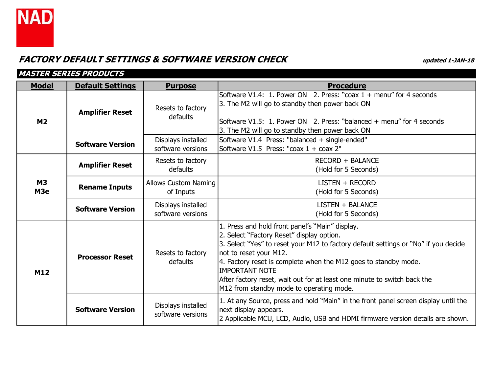

|                              | MASTER SERIES PRODUCTS  |                                          |                                                                                                                                                                                                                                                                                                                                                                                                                                   |  |  |
|------------------------------|-------------------------|------------------------------------------|-----------------------------------------------------------------------------------------------------------------------------------------------------------------------------------------------------------------------------------------------------------------------------------------------------------------------------------------------------------------------------------------------------------------------------------|--|--|
| <b>Model</b>                 | <b>Default Settings</b> | <b>Purpose</b>                           | <b>Procedure</b>                                                                                                                                                                                                                                                                                                                                                                                                                  |  |  |
| M <sub>2</sub>               | <b>Amplifier Reset</b>  | Resets to factory<br>defaults            | Software V1.4: 1. Power ON 2. Press: "coax 1 + menu" for 4 seconds<br>3. The M2 will go to standby then power back ON<br>Software V1.5: 1. Power ON 2. Press: "balanced + menu" for 4 seconds<br>3. The M2 will go to standby then power back ON                                                                                                                                                                                  |  |  |
|                              | <b>Software Version</b> | Displays installed<br>software versions  | Software V1.4 Press: "balanced + single-ended"<br>Software V1.5 Press: "coax 1 + coax 2"                                                                                                                                                                                                                                                                                                                                          |  |  |
| <b>M3</b><br>M <sub>3e</sub> | <b>Amplifier Reset</b>  | Resets to factory<br>defaults            | <b>RECORD + BALANCE</b><br>(Hold for 5 Seconds)                                                                                                                                                                                                                                                                                                                                                                                   |  |  |
|                              | <b>Rename Inputs</b>    | <b>Allows Custom Naming</b><br>of Inputs | LISTEN + RECORD<br>(Hold for 5 Seconds)                                                                                                                                                                                                                                                                                                                                                                                           |  |  |
|                              | <b>Software Version</b> | Displays installed<br>software versions  | LISTEN + BALANCE<br>(Hold for 5 Seconds)                                                                                                                                                                                                                                                                                                                                                                                          |  |  |
| M12                          | <b>Processor Reset</b>  | Resets to factory<br>defaults            | 1. Press and hold front panel's "Main" display.<br>2. Select "Factory Reset" display option.<br>3. Select "Yes" to reset your M12 to factory default settings or "No" if you decide<br>not to reset your M12.<br>4. Factory reset is complete when the M12 goes to standby mode.<br><b>IMPORTANT NOTE</b><br>After factory reset, wait out for at least one minute to switch back the<br>M12 from standby mode to operating mode. |  |  |
|                              | <b>Software Version</b> | Displays installed<br>software versions  | 1. At any Source, press and hold "Main" in the front panel screen display until the<br>next display appears.<br>2 Applicable MCU, LCD, Audio, USB and HDMI firmware version details are shown.                                                                                                                                                                                                                                    |  |  |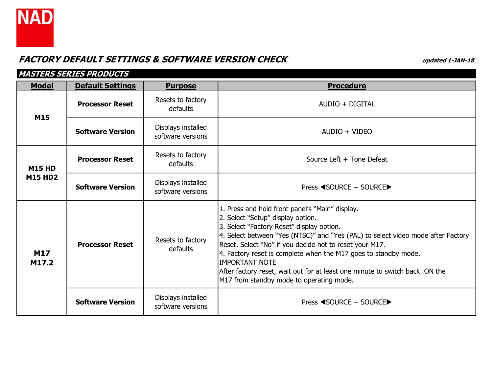

| MASTERS SERIES PRODUCTS         |                         |                                         |                                                                                                                                                                                                                                                                                                                                                                                                                                                                                                         |  |
|---------------------------------|-------------------------|-----------------------------------------|---------------------------------------------------------------------------------------------------------------------------------------------------------------------------------------------------------------------------------------------------------------------------------------------------------------------------------------------------------------------------------------------------------------------------------------------------------------------------------------------------------|--|
| <b>Model</b>                    | <b>Default Settings</b> | <b>Purpose</b>                          | <b>Procedure</b>                                                                                                                                                                                                                                                                                                                                                                                                                                                                                        |  |
| M15                             | <b>Processor Reset</b>  | Resets to factory<br>defaults           | AUDIO + DIGITAL                                                                                                                                                                                                                                                                                                                                                                                                                                                                                         |  |
|                                 | <b>Software Version</b> | Displays installed<br>software versions | AUDIO + VIDEO                                                                                                                                                                                                                                                                                                                                                                                                                                                                                           |  |
| <b>M15 HD</b><br><b>M15 HD2</b> | <b>Processor Reset</b>  | Resets to factory<br>defaults           | Source Left + Tone Defeat                                                                                                                                                                                                                                                                                                                                                                                                                                                                               |  |
|                                 | <b>Software Version</b> | Displays installed<br>software versions | Press ◀SOURCE + SOURCE▶                                                                                                                                                                                                                                                                                                                                                                                                                                                                                 |  |
| <b>M17</b><br>M17.2             | <b>Processor Reset</b>  | Resets to factory<br>defaults           | 1. Press and hold front panel's "Main" display.<br>2. Select "Setup" display option.<br>3. Select "Factory Reset" display option.<br>4. Select between "Yes (NTSC)" and "Yes (PAL) to select video mode after Factory<br>Reset. Select "No" if you decide not to reset your M17.<br>4. Factory reset is complete when the M17 goes to standby mode.<br><b>IMPORTANT NOTE</b><br>After factory reset, wait out for at least one minute to switch back ON the<br>M17 from standby mode to operating mode. |  |
|                                 | <b>Software Version</b> | Displays installed<br>software versions | Press ◀SOURCE + SOURCE▶                                                                                                                                                                                                                                                                                                                                                                                                                                                                                 |  |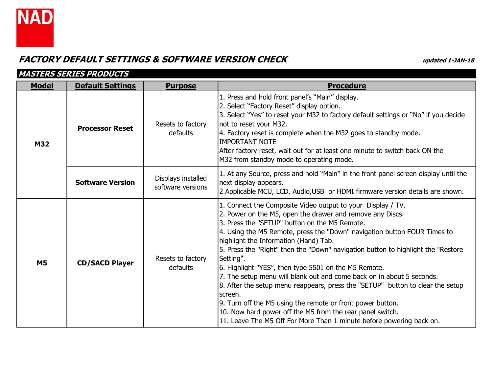

|              | <b>MASTERS SERIES PRODUCTS</b> |                                         |                                                                                                                                                                                                                                                                                                                                                                                                                                                                                                                                                                                                                                                                                                                                                                                                                                   |  |  |
|--------------|--------------------------------|-----------------------------------------|-----------------------------------------------------------------------------------------------------------------------------------------------------------------------------------------------------------------------------------------------------------------------------------------------------------------------------------------------------------------------------------------------------------------------------------------------------------------------------------------------------------------------------------------------------------------------------------------------------------------------------------------------------------------------------------------------------------------------------------------------------------------------------------------------------------------------------------|--|--|
| <b>Model</b> | <b>Default Settings</b>        | <b>Purpose</b>                          | <b>Procedure</b>                                                                                                                                                                                                                                                                                                                                                                                                                                                                                                                                                                                                                                                                                                                                                                                                                  |  |  |
| <b>M32</b>   | <b>Processor Reset</b>         | Resets to factory<br>defaults           | 1. Press and hold front panel's "Main" display.<br>2. Select "Factory Reset" display option.<br>3. Select "Yes" to reset your M32 to factory default settings or "No" if you decide<br>not to reset your M32.<br>4. Factory reset is complete when the M32 goes to standby mode.<br>IIMPORTANT NOTE<br>After factory reset, wait out for at least one minute to switch back ON the<br>M32 from standby mode to operating mode.                                                                                                                                                                                                                                                                                                                                                                                                    |  |  |
|              | <b>Software Version</b>        | Displays installed<br>software versions | 1. At any Source, press and hold "Main" in the front panel screen display until the<br>next display appears.<br>2 Applicable MCU, LCD, Audio, USB or HDMI firmware version details are shown.                                                                                                                                                                                                                                                                                                                                                                                                                                                                                                                                                                                                                                     |  |  |
| <b>M5</b>    | <b>CD/SACD Player</b>          | Resets to factory<br>defaults           | 1. Connect the Composite Video output to your Display / TV.<br>2. Power on the M5, open the drawer and remove any Discs.<br>3. Press the "SETUP" button on the M5 Remote.<br>4. Using the M5 Remote, press the "Down" navigation button FOUR Times to<br>highlight the Information (Hand) Tab.<br>5. Press the "Right" then the "Down" navigation button to highlight the "Restore<br>Setting".<br>6. Highlight "YES", then type 5501 on the M5 Remote.<br>7. The setup menu will blank out and come back on in about 5 seconds.<br>8. After the setup menu reappears, press the "SETUP" button to clear the setup<br>Iscreen.<br>9. Turn off the M5 using the remote or front power button.<br>10. Now hard power off the M5 from the rear panel switch.<br>11. Leave The M5 Off For More Than 1 minute before powering back on. |  |  |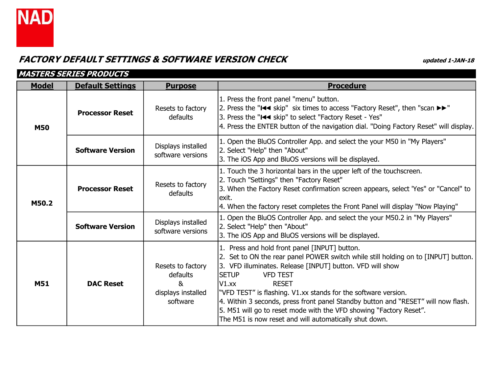

|              | <b>MASTERS SERIES PRODUCTS</b> |                                                                      |                                                                                                                                                                                                                                                                                                                                                                                                                                                                                                                                                        |  |  |
|--------------|--------------------------------|----------------------------------------------------------------------|--------------------------------------------------------------------------------------------------------------------------------------------------------------------------------------------------------------------------------------------------------------------------------------------------------------------------------------------------------------------------------------------------------------------------------------------------------------------------------------------------------------------------------------------------------|--|--|
| <b>Model</b> | <b>Default Settings</b>        | <b>Purpose</b>                                                       | <b>Procedure</b>                                                                                                                                                                                                                                                                                                                                                                                                                                                                                                                                       |  |  |
| <b>M50</b>   | <b>Processor Reset</b>         | Resets to factory<br>defaults                                        | 1. Press the front panel "menu" button.<br>2. Press the "III skip" six times to access "Factory Reset", then "scan $\blacktriangleright\blacktriangleright$ "<br>3. Press the "I<< skip" to select "Factory Reset - Yes"<br>4. Press the ENTER button of the navigation dial. "Doing Factory Reset" will display.                                                                                                                                                                                                                                      |  |  |
|              | <b>Software Version</b>        | Displays installed<br>software versions                              | 1. Open the BluOS Controller App. and select the your M50 in "My Players"<br>2. Select "Help" then "About"<br>3. The iOS App and BluOS versions will be displayed.                                                                                                                                                                                                                                                                                                                                                                                     |  |  |
| M50.2        | <b>Processor Reset</b>         | Resets to factory<br>defaults                                        | 1. Touch the 3 horizontal bars in the upper left of the touchscreen.<br>2. Touch "Settings" then "Factory Reset"<br>3. When the Factory Reset confirmation screen appears, select 'Yes" or "Cancel" to<br>lexit.<br>4. When the factory reset completes the Front Panel will display "Now Playing"                                                                                                                                                                                                                                                     |  |  |
|              | <b>Software Version</b>        | Displays installed<br>software versions                              | 1. Open the BluOS Controller App. and select the your M50.2 in "My Players"<br>2. Select "Help" then "About"<br>3. The iOS App and BluOS versions will be displayed.                                                                                                                                                                                                                                                                                                                                                                                   |  |  |
| <b>M51</b>   | <b>DAC Reset</b>               | Resets to factory<br>defaults<br>&<br>displays installed<br>software | 1. Press and hold front panel [INPUT] button.<br>2. Set to ON the rear panel POWER switch while still holding on to [INPUT] button.<br>3. VFD illuminates. Release [INPUT] button. VFD will show<br><b>SETUP</b><br><b>VFD TEST</b><br><b>RESET</b><br>$VI$ .xx<br>"VFD TEST" is flashing. V1.xx stands for the software version.<br>4. Within 3 seconds, press front panel Standby button and "RESET" will now flash.<br>5. M51 will go to reset mode with the VFD showing "Factory Reset".<br>The M51 is now reset and will automatically shut down. |  |  |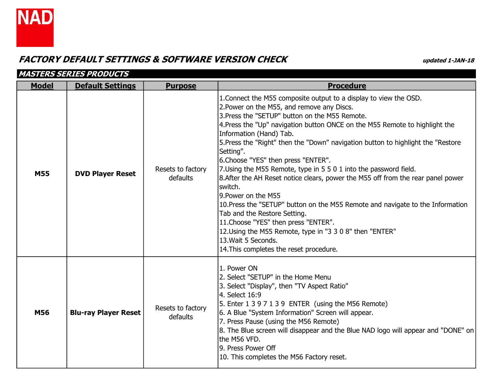

|              | <b>MASTERS SERIES PRODUCTS</b> |                               |                                                                                                                                                                                                                                                                                                                                                                                                                                                                                                                                                                                                                                                                                                                                                                                                                                                                                                        |  |  |
|--------------|--------------------------------|-------------------------------|--------------------------------------------------------------------------------------------------------------------------------------------------------------------------------------------------------------------------------------------------------------------------------------------------------------------------------------------------------------------------------------------------------------------------------------------------------------------------------------------------------------------------------------------------------------------------------------------------------------------------------------------------------------------------------------------------------------------------------------------------------------------------------------------------------------------------------------------------------------------------------------------------------|--|--|
| <b>Model</b> | <b>Default Settings</b>        | <b>Purpose</b>                | <b>Procedure</b>                                                                                                                                                                                                                                                                                                                                                                                                                                                                                                                                                                                                                                                                                                                                                                                                                                                                                       |  |  |
| <b>M55</b>   | <b>DVD Player Reset</b>        | Resets to factory<br>defaults | 1. Connect the M55 composite output to a display to view the OSD.<br>2. Power on the M55, and remove any Discs.<br>3. Press the "SETUP" button on the M55 Remote.<br>4. Press the "Up" navigation button ONCE on the M55 Remote to highlight the<br>Information (Hand) Tab.<br>5. Press the "Right" then the "Down" navigation button to highlight the "Restore"<br>Setting".<br>6. Choose "YES" then press "ENTER".<br>7. Using the M55 Remote, type in 5 5 0 1 into the password field.<br>8. After the AH Reset notice clears, power the M55 off from the rear panel power<br>switch.<br>9.Power on the M55<br>10. Press the "SETUP" button on the M55 Remote and navigate to the Information<br>Tab and the Restore Setting.<br>11. Choose "YES" then press "ENTER".<br>12. Using the M55 Remote, type in "3 3 0 8" then "ENTER"<br>13. Wait 5 Seconds.<br>14. This completes the reset procedure. |  |  |
| M56          | <b>Blu-ray Player Reset</b>    | Resets to factory<br>defaults | 1. Power ON<br>2. Select "SETUP" in the Home Menu<br>3. Select "Display", then "TV Aspect Ratio"<br>4. Select 16:9<br>5. Enter 1 3 9 7 1 3 9 ENTER (using the M56 Remote)<br>6. A Blue "System Information" Screen will appear.<br>7. Press Pause (using the M56 Remote)<br>8. The Blue screen will disappear and the Blue NAD logo will appear and "DONE" on<br>the M56 VFD.<br>9. Press Power Off<br>10. This completes the M56 Factory reset.                                                                                                                                                                                                                                                                                                                                                                                                                                                       |  |  |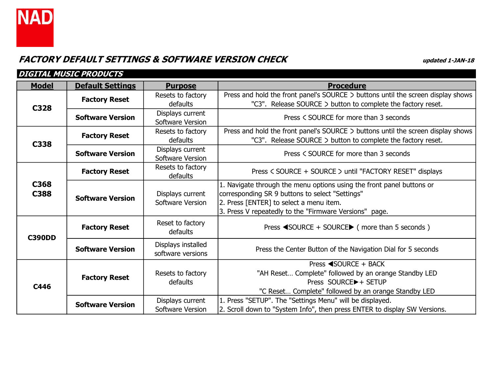

| <b>DIGITAL MUSIC PRODUCTS</b> |                         |                                         |                                                                                                                                                                                                                               |  |
|-------------------------------|-------------------------|-----------------------------------------|-------------------------------------------------------------------------------------------------------------------------------------------------------------------------------------------------------------------------------|--|
| <b>Model</b>                  | <b>Default Settings</b> | <b>Purpose</b>                          | <b>Procedure</b>                                                                                                                                                                                                              |  |
| C328                          | <b>Factory Reset</b>    | Resets to factory<br>defaults           | Press and hold the front panel's SOURCE > buttons until the screen display shows<br>"C3". Release SOURCE > button to complete the factory reset.                                                                              |  |
|                               | <b>Software Version</b> | Displays current<br>Software Version    | Press < SOURCE for more than 3 seconds                                                                                                                                                                                        |  |
| C338                          | <b>Factory Reset</b>    | Resets to factory<br>defaults           | Press and hold the front panel's SOURCE > buttons until the screen display shows<br>"C3". Release SOURCE > button to complete the factory reset.                                                                              |  |
|                               | <b>Software Version</b> | Displays current<br>Software Version    | Press < SOURCE for more than 3 seconds                                                                                                                                                                                        |  |
| C368<br>C388                  | <b>Factory Reset</b>    | Resets to factory<br>defaults           | Press < SOURCE + SOURCE > until "FACTORY RESET" displays                                                                                                                                                                      |  |
|                               | <b>Software Version</b> | Displays current<br>Software Version    | 1. Navigate through the menu options using the front panel buttons or<br>corresponding SR 9 buttons to select "Settings"<br>2. Press [ENTER] to select a menu item.<br>3. Press V repeatedly to the "Firmware Versions" page. |  |
| <b>C390DD</b>                 | <b>Factory Reset</b>    | Reset to factory<br>defaults            | Press $\triangleleft$ SOURCE + SOURCE $\triangleright$ (more than 5 seconds)                                                                                                                                                  |  |
|                               | <b>Software Version</b> | Displays installed<br>software versions | Press the Center Button of the Navigation Dial for 5 seconds                                                                                                                                                                  |  |
| C446                          | <b>Factory Reset</b>    | Resets to factory<br>defaults           | Press ◀SOURCE + BACK<br>"AH Reset Complete" followed by an orange Standby LED<br>Press SOURCE▶ + SETUP<br>"C Reset Complete" followed by an orange Standby LED                                                                |  |
|                               | <b>Software Version</b> | Displays current<br>Software Version    | 1. Press "SETUP". The "Settings Menu" will be displayed.<br>2. Scroll down to "System Info", then press ENTER to display SW Versions.                                                                                         |  |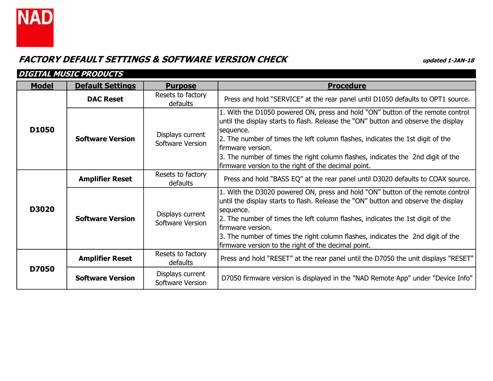

| <b>DIGITAL MUSIC PRODUCTS</b> |                         |                                      |                                                                                                                                                                                                                                                                                                                                                                                                                                     |  |
|-------------------------------|-------------------------|--------------------------------------|-------------------------------------------------------------------------------------------------------------------------------------------------------------------------------------------------------------------------------------------------------------------------------------------------------------------------------------------------------------------------------------------------------------------------------------|--|
| <b>Model</b>                  | <b>Default Settings</b> | <b>Purpose</b>                       | <b>Procedure</b>                                                                                                                                                                                                                                                                                                                                                                                                                    |  |
|                               | <b>DAC Reset</b>        | Resets to factory<br>defaults        | Press and hold "SERVICE" at the rear panel until D1050 defaults to OPT1 source.                                                                                                                                                                                                                                                                                                                                                     |  |
| D1050                         | <b>Software Version</b> | Displays current<br>Software Version | 1. With the D1050 powered ON, press and hold "ON" button of the remote control<br>until the display starts to flash. Release the "ON" button and observe the display<br>sequence.<br>2. The number of times the left column flashes, indicates the 1st digit of the<br>lfirmware version.<br>3. The number of times the right column flashes, indicates the 2nd digit of the<br>firmware version to the right of the decimal point. |  |
|                               | <b>Amplifier Reset</b>  | Resets to factory<br><b>defaults</b> | Press and hold "BASS EQ" at the rear panel until D3020 defaults to COAX source.                                                                                                                                                                                                                                                                                                                                                     |  |
| <b>D3020</b>                  | <b>Software Version</b> | Displays current<br>Software Version | 1. With the D3020 powered ON, press and hold "ON" button of the remote control<br>until the display starts to flash. Release the "ON" button and observe the display<br>sequence.<br>2. The number of times the left column flashes, indicates the 1st digit of the<br>lfirmware version.<br>3. The number of times the right column flashes, indicates the 2nd digit of the<br>firmware version to the right of the decimal point. |  |
| D7050                         | <b>Amplifier Reset</b>  | Resets to factory<br>defaults        | Press and hold "RESET" at the rear panel until the D7050 the unit displays "RESET"                                                                                                                                                                                                                                                                                                                                                  |  |
|                               | <b>Software Version</b> | Displays current<br>Software Version | D7050 firmware version is displayed in the "NAD Remote App" under "Device Info"                                                                                                                                                                                                                                                                                                                                                     |  |